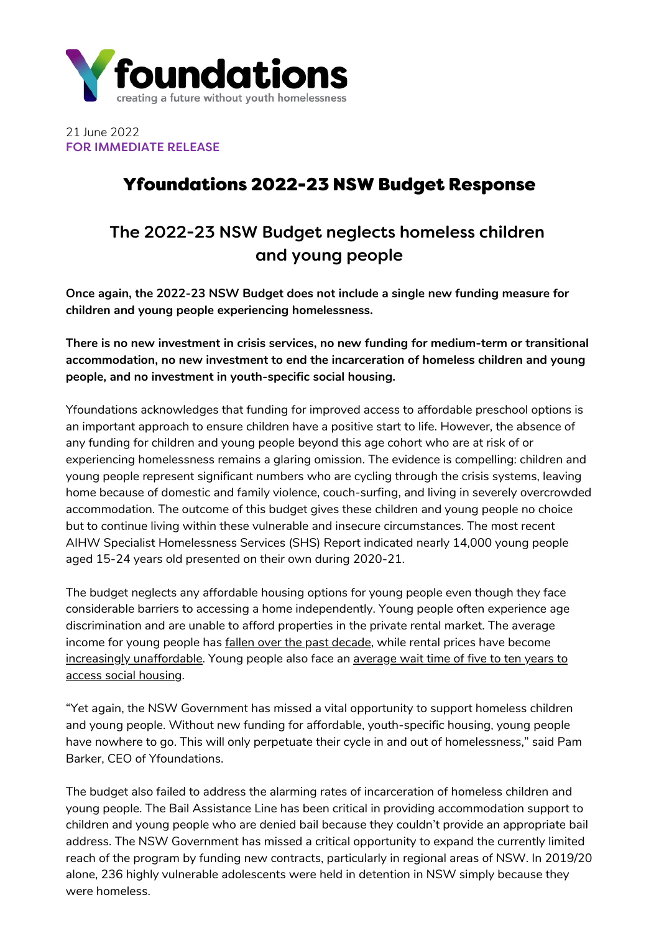

21 June 2022 FOR IMMEDIATE RELEASE

## Yfoundations 2022-23 NSW Budget Response

# The 2022-23 NSW Budget neglects homeless children and young people

**Once again, the 2022-23 NSW Budget does not include a single new funding measure for children and young people experiencing homelessness.**

**There is no new investment in crisis services, no new funding for medium-term or transitional accommodation, no new investment to end the incarceration of homeless children and young people, and no investment in youth-specific social housing.**

Yfoundations acknowledges that funding for improved access to affordable preschool options is an important approach to ensure children have a positive start to life. However, the absence of any funding for children and young people beyond this age cohort who are at risk of or experiencing homelessness remains a glaring omission. The evidence is compelling: children and young people represent significant numbers who are cycling through the crisis systems, leaving home because of domestic and family violence, couch-surfing, and living in severely overcrowded accommodation. The outcome of this budget gives these children and young people no choice but to continue living within these vulnerable and insecure circumstances. The most recent AIHW Specialist Homelessness Services (SHS) Report indicated nearly 14,000 young people aged 15-24 years old presented on their own during 2020-21.

The budget neglects any affordable housing options for young people even though they face considerable barriers to accessing a home independently. Young people often experience age discrimination and are unable to afford properties in the private rental market. The average income for young people has fallen over the past [decade](https://www.pc.gov.au/research/completed/youth-income-decline/youth-income-decline.pdf), while rental prices have become increasingly [unaffordable](https://www.anglicare.asn.au/wp-content/uploads/2022/04/Rental-Affordability-Snapshot-National-report.pdf)[.](https://www.csi.edu.au/media/uploads/social_housing_in_nsw_contemporary_analysis.pdf) Young people also face an average wait time of five to ten years to access social housing.

"Yet again, the NSW Government has missed a vital opportunity to support homeless children and young people. Without new funding for affordable, youth-specific housing, young people have nowhere to go. This will only perpetuate their cycle in and out of homelessness," said Pam Barker, CEO of Yfoundations.

The budget also failed to address the alarming rates of incarceration of homeless children and young people. The Bail Assistance Line has been critical in providing accommodation support to children and young people who are denied bail because they couldn't provide an appropriate bail address. The NSW Government has missed a critical opportunity to expand the currently limited reach of the program by funding new contracts, particularly in regional areas of NSW. In 2019/20 alone, 236 highly vulnerable adolescents were held in detention in NSW simply because they were homeless.